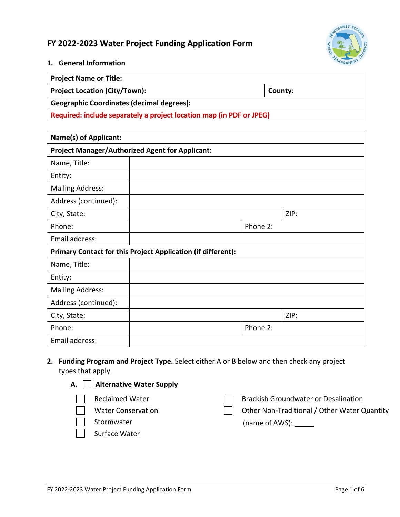# **FY 2022-2023 Water Project Funding Application Form**



#### **1. General Information**

| Project Name or Title:                    |         |
|-------------------------------------------|---------|
| Project Location (City/Town):             | County: |
| Geographic Coordinates (decimal degrees): |         |

**Required: include separately a project location map (in PDF or JPEG)** 

| <b>Name(s) of Applicant:</b> |                                                              |          |      |  |  |
|------------------------------|--------------------------------------------------------------|----------|------|--|--|
|                              | <b>Project Manager/Authorized Agent for Applicant:</b>       |          |      |  |  |
| Name, Title:                 |                                                              |          |      |  |  |
| Entity:                      |                                                              |          |      |  |  |
| <b>Mailing Address:</b>      |                                                              |          |      |  |  |
| Address (continued):         |                                                              |          |      |  |  |
| City, State:                 |                                                              |          | ZIP: |  |  |
| Phone:                       |                                                              | Phone 2: |      |  |  |
| Email address:               |                                                              |          |      |  |  |
|                              | Primary Contact for this Project Application (if different): |          |      |  |  |
| Name, Title:                 |                                                              |          |      |  |  |
| Entity:                      |                                                              |          |      |  |  |
| <b>Mailing Address:</b>      |                                                              |          |      |  |  |
| Address (continued):         |                                                              |          |      |  |  |
| City, State:                 |                                                              |          | ZIP: |  |  |
| Phone:                       |                                                              | Phone 2: |      |  |  |
| Email address:               |                                                              |          |      |  |  |

## **2. Funding Program and Project Type.** Select either A or B below and then check any project types that apply.

| A. Alternative Water Supply                                       |                                                                                             |
|-------------------------------------------------------------------|---------------------------------------------------------------------------------------------|
| <b>Reclaimed Water</b><br><b>Water Conservation</b><br>Stormwater | <b>Brackish Groundwater or Desalination</b><br>Other Non-Traditional / Other Water Quantity |
| Surface Water                                                     |                                                                                             |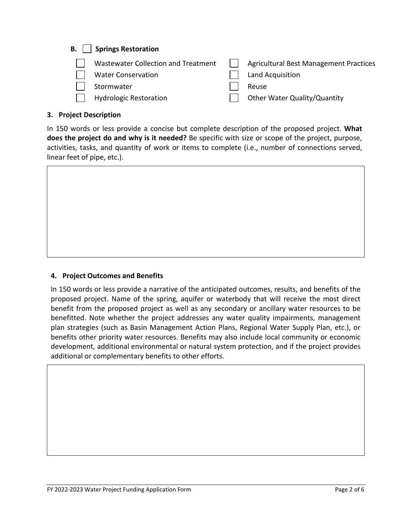# **B. Springs Restoration**

| Wastewater Collection and Treatment | <b>Agricultural Best Management Practices</b> |
|-------------------------------------|-----------------------------------------------|
| <b>Water Conservation</b>           | Land Acquisition                              |
| Stormwater                          | Reuse                                         |
| <b>Hydrologic Restoration</b>       | Other Water Quality/Quantity                  |

### **3. Project Description**

In 150 words or less provide a concise but complete description of the proposed project. **What does the project do and why is it needed?** Be specific with size or scope of the project, purpose, activities, tasks, and quantity of work or items to complete (i.e., number of connections served, linear feet of pipe, etc.).

### **4. Project Outcomes and Benefits**

In 150 words or less provide a narrative of the anticipated outcomes, results, and benefits of the proposed project. Name of the spring, aquifer or waterbody that will receive the most direct benefit from the proposed project as well as any secondary or ancillary water resources to be benefitted. Note whether the project addresses any water quality impairments, management plan strategies (such as Basin Management Action Plans, Regional Water Supply Plan, etc.), or benefits other priority water resources. Benefits may also include local community or economic development, additional environmental or natural system protection, and if the project provides additional or complementary benefits to other efforts.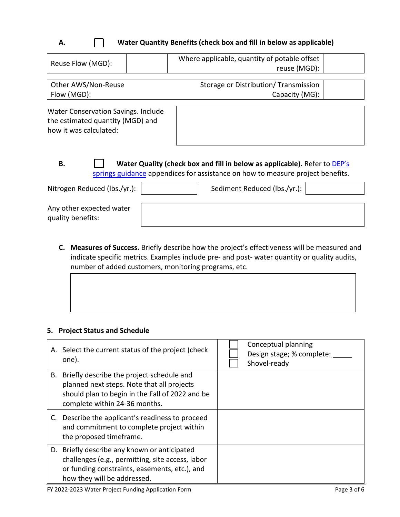# **A. Water Quantity Benefits (check box and fill in below as applicable)**

| Reuse Flow (MGD):                                                                                                                                                 |  | Where applicable, quantity of potable offset<br>reuse (MGD): |                                                        |  |
|-------------------------------------------------------------------------------------------------------------------------------------------------------------------|--|--------------------------------------------------------------|--------------------------------------------------------|--|
| Other AWS/Non-Reuse<br>Flow (MGD):                                                                                                                                |  |                                                              | Storage or Distribution/Transmission<br>Capacity (MG): |  |
| Water Conservation Savings. Include<br>the estimated quantity (MGD) and<br>how it was calculated:                                                                 |  |                                                              |                                                        |  |
| В.<br>Water Quality (check box and fill in below as applicable). Refer to DEP's<br>springs guidance appendices for assistance on how to measure project benefits. |  |                                                              |                                                        |  |
| Nitrogen Reduced (lbs./yr.):                                                                                                                                      |  |                                                              | Sediment Reduced (lbs./yr.):                           |  |

**C. Measures of Success.** Briefly describe how the project's effectiveness will be measured and indicate specific metrics. Examples include pre- and post- water quantity or quality audits,

number of added customers, monitoring programs, etc.

### **5. Project Status and Schedule**

Any other expected water

quality benefits:

|    | A. Select the current status of the project (check<br>one).                                                                                                                      | Conceptual planning<br>Design stage; % complete:<br>Shovel-ready |
|----|----------------------------------------------------------------------------------------------------------------------------------------------------------------------------------|------------------------------------------------------------------|
| В. | Briefly describe the project schedule and<br>planned next steps. Note that all projects<br>should plan to begin in the Fall of 2022 and be<br>complete within 24-36 months.      |                                                                  |
|    | C. Describe the applicant's readiness to proceed<br>and commitment to complete project within<br>the proposed timeframe.                                                         |                                                                  |
|    | D. Briefly describe any known or anticipated<br>challenges (e.g., permitting, site access, labor<br>or funding constraints, easements, etc.), and<br>how they will be addressed. |                                                                  |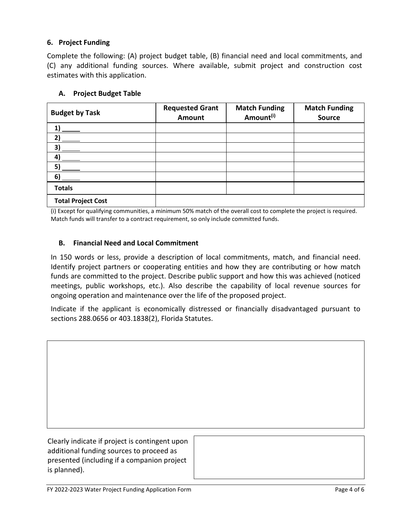## **6. Project Funding**

Complete the following: (A) project budget table, (B) financial need and local commitments, and (C) any additional funding sources. Where available, submit project and construction cost estimates with this application.

### **A. Project Budget Table**

| <b>Budget by Task</b>     | <b>Requested Grant</b><br>Amount | <b>Match Funding</b><br>Amount <sup>(i)</sup> | <b>Match Funding</b><br><b>Source</b> |
|---------------------------|----------------------------------|-----------------------------------------------|---------------------------------------|
| 1)                        |                                  |                                               |                                       |
| 21                        |                                  |                                               |                                       |
| 3)                        |                                  |                                               |                                       |
| 4)                        |                                  |                                               |                                       |
| 5)                        |                                  |                                               |                                       |
| 6)                        |                                  |                                               |                                       |
| <b>Totals</b>             |                                  |                                               |                                       |
| <b>Total Project Cost</b> |                                  |                                               |                                       |

(i) Except for qualifying communities, a minimum 50% match of the overall cost to complete the project is required. Match funds will transfer to a contract requirement, so only include committed funds.

## **B. Financial Need and Local Commitment**

In 150 words or less, provide a description of local commitments, match, and financial need. Identify project partners or cooperating entities and how they are contributing or how match funds are committed to the project. Describe public support and how this was achieved (noticed meetings, public workshops, etc.). Also describe the capability of local revenue sources for ongoing operation and maintenance over the life of the proposed project.

Indicate if the applicant is economically distressed or financially disadvantaged pursuant to sections 288.0656 or 403.1838(2), Florida Statutes.

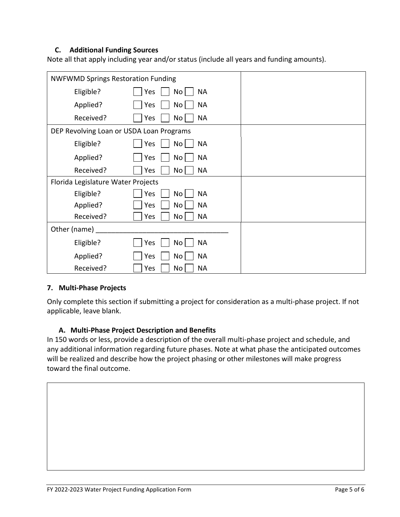### **C. Additional Funding Sources**

Note all that apply including year and/or status (include all years and funding amounts).

| <b>NWFWMD Springs Restoration Funding</b> |                                     |  |
|-------------------------------------------|-------------------------------------|--|
| Eligible?                                 | <b>NA</b><br>Yes<br>No <sub>1</sub> |  |
| Applied?                                  | No <sub>1</sub><br><b>NA</b><br>Yes |  |
| Received?                                 | <b>NA</b><br>No <sub>1</sub><br>Yes |  |
| DEP Revolving Loan or USDA Loan Programs  |                                     |  |
| Eligible?                                 | Yes<br><b>NA</b><br>No <sub>1</sub> |  |
| Applied?                                  | <b>NA</b><br>No <sub>1</sub><br>Yes |  |
| Received?                                 | <b>NA</b><br>Yes<br>No <sub>1</sub> |  |
| Florida Legislature Water Projects        |                                     |  |
| Eligible?                                 | <b>NA</b><br>Yes<br>No <sub>1</sub> |  |
| Applied?                                  | <b>NA</b><br>No<br>Yes              |  |
| Received?                                 | Yes<br>No <sub>1</sub><br><b>NA</b> |  |
| Other (name)                              |                                     |  |
| Eligible?                                 | <b>NA</b><br>Yes<br>No <sub>1</sub> |  |
| Applied?                                  | <b>NA</b><br>No <sub>1</sub><br>Yes |  |
| Received?                                 | <b>NA</b><br>Yes<br>No              |  |

### **7. Multi-Phase Projects**

Only complete this section if submitting a project for consideration as a multi-phase project. If not applicable, leave blank.

### **A. Multi-Phase Project Description and Benefits**

In 150 words or less, provide a description of the overall multi-phase project and schedule, and any additional information regarding future phases. Note at what phase the anticipated outcomes will be realized and describe how the project phasing or other milestones will make progress toward the final outcome.